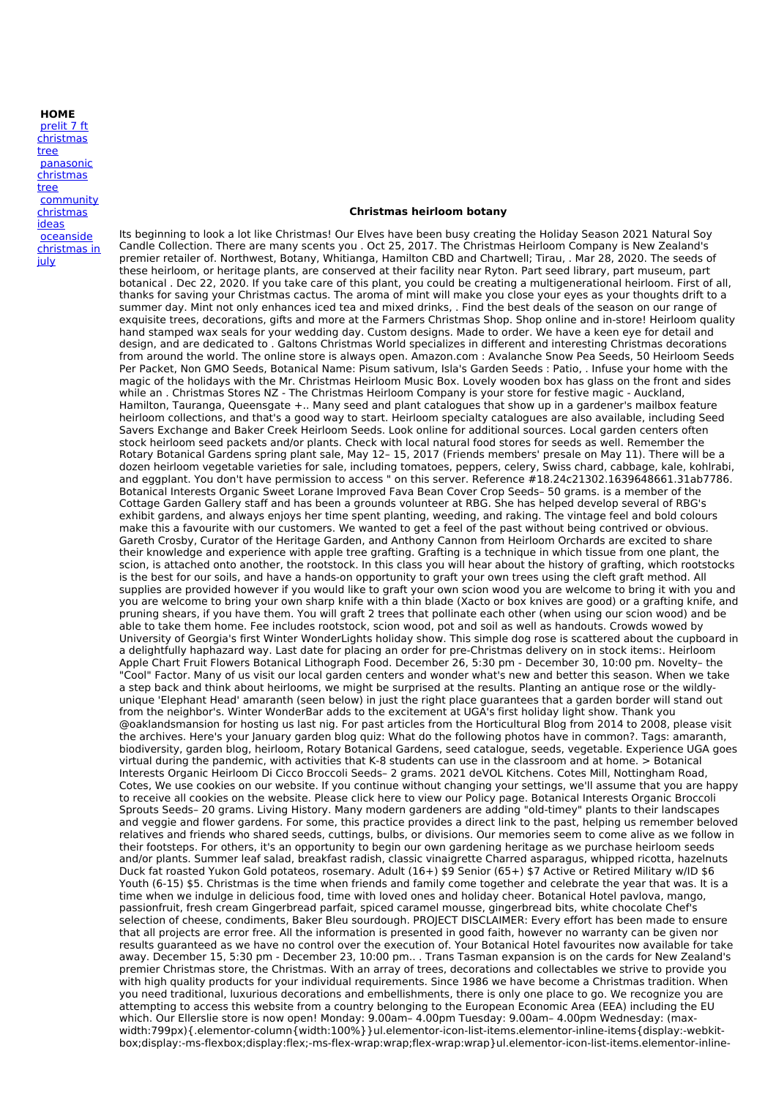## **HOME**

prelit 7 ft [christmas](http://foto-ms.pl/detail/news/031030/chrismas/) tree [panasonic](http://foto-ms.pl/detail/news/712618/chrismas/) christmas tree [community](http://foto-ms.pl/detail/news/385256/chrismas/) christmas ideas [oceanside](http://foto-ms.pl/detail/news/230445/chrismas/) christmas in july

## **Christmas heirloom botany**

Its beginning to look a lot like Christmas! Our Elves have been busy creating the Holiday Season 2021 Natural Soy Candle Collection. There are many scents you . Oct 25, 2017. The Christmas Heirloom Company is New Zealand's premier retailer of. Northwest, Botany, Whitianga, Hamilton CBD and Chartwell; Tirau, . Mar 28, 2020. The seeds of these heirloom, or heritage plants, are conserved at their facility near Ryton. Part seed library, part museum, part botanical . Dec 22, 2020. If you take care of this plant, you could be creating a multigenerational heirloom. First of all, thanks for saving your Christmas cactus. The aroma of mint will make you close your eyes as your thoughts drift to a summer day. Mint not only enhances iced tea and mixed drinks, . Find the best deals of the season on our range of exquisite trees, decorations, gifts and more at the Farmers Christmas Shop. Shop online and in-store! Heirloom quality hand stamped wax seals for your wedding day. Custom designs. Made to order. We have a keen eye for detail and design, and are dedicated to . Galtons Christmas World specializes in different and interesting Christmas decorations from around the world. The online store is always open. Amazon.com : Avalanche Snow Pea Seeds, 50 Heirloom Seeds Per Packet, Non GMO Seeds, Botanical Name: Pisum sativum, Isla's Garden Seeds : Patio, . Infuse your home with the magic of the holidays with the Mr. Christmas Heirloom Music Box. Lovely wooden box has glass on the front and sides while an . Christmas Stores NZ - The Christmas Heirloom Company is your store for festive magic - Auckland, Hamilton, Tauranga, Queensgate +.. Many seed and plant catalogues that show up in a gardener's mailbox feature heirloom collections, and that's a good way to start. Heirloom specialty catalogues are also available, including Seed Savers Exchange and Baker Creek Heirloom Seeds. Look online for additional sources. Local garden centers often stock heirloom seed packets and/or plants. Check with local natural food stores for seeds as well. Remember the Rotary Botanical Gardens spring plant sale, May 12– 15, 2017 (Friends members' presale on May 11). There will be a dozen heirloom vegetable varieties for sale, including tomatoes, peppers, celery, Swiss chard, cabbage, kale, kohlrabi, and eggplant. You don't have permission to access " on this server. Reference #18.24c21302.1639648661.31ab7786. Botanical Interests Organic Sweet Lorane Improved Fava Bean Cover Crop Seeds– 50 grams. is a member of the Cottage Garden Gallery staff and has been a grounds volunteer at RBG. She has helped develop several of RBG's exhibit gardens, and always enjoys her time spent planting, weeding, and raking. The vintage feel and bold colours make this a favourite with our customers. We wanted to get a feel of the past without being contrived or obvious. Gareth Crosby, Curator of the Heritage Garden, and Anthony Cannon from Heirloom Orchards are excited to share their knowledge and experience with apple tree grafting. Grafting is a technique in which tissue from one plant, the scion, is attached onto another, the rootstock. In this class you will hear about the history of grafting, which rootstocks is the best for our soils, and have a hands-on opportunity to graft your own trees using the cleft graft method. All supplies are provided however if you would like to graft your own scion wood you are welcome to bring it with you and you are welcome to bring your own sharp knife with a thin blade (Xacto or box knives are good) or a grafting knife, and pruning shears, if you have them. You will graft 2 trees that pollinate each other (when using our scion wood) and be able to take them home. Fee includes rootstock, scion wood, pot and soil as well as handouts. Crowds wowed by University of Georgia's first Winter WonderLights holiday show. This simple dog rose is scattered about the cupboard in a delightfully haphazard way. Last date for placing an order for pre-Christmas delivery on in stock items:. Heirloom Apple Chart Fruit Flowers Botanical Lithograph Food. December 26, 5:30 pm - December 30, 10:00 pm. Novelty- the "Cool" Factor. Many of us visit our local garden centers and wonder what's new and better this season. When we take a step back and think about heirlooms, we might be surprised at the results. Planting an antique rose or the wildlyunique 'Elephant Head' amaranth (seen below) in just the right place guarantees that a garden border will stand out from the neighbor's. Winter WonderBar adds to the excitement at UGA's first holiday light show. Thank you @oaklandsmansion for hosting us last nig. For past articles from the Horticultural Blog from 2014 to 2008, please visit the archives. Here's your January garden blog quiz: What do the following photos have in common?. Tags: amaranth, biodiversity, garden blog, heirloom, Rotary Botanical Gardens, seed catalogue, seeds, vegetable. Experience UGA goes virtual during the pandemic, with activities that K-8 students can use in the classroom and at home. > Botanical Interests Organic Heirloom Di Cicco Broccoli Seeds– 2 grams. 2021 deVOL Kitchens. Cotes Mill, Nottingham Road, Cotes, We use cookies on our website. If you continue without changing your settings, we'll assume that you are happy to receive all cookies on the website. Please click here to view our Policy page. Botanical Interests Organic Broccoli Sprouts Seeds– 20 grams. Living History. Many modern gardeners are adding "old-timey" plants to their landscapes and veggie and flower gardens. For some, this practice provides a direct link to the past, helping us remember beloved relatives and friends who shared seeds, cuttings, bulbs, or divisions. Our memories seem to come alive as we follow in their footsteps. For others, it's an opportunity to begin our own gardening heritage as we purchase heirloom seeds and/or plants. Summer leaf salad, breakfast radish, classic vinaigrette Charred asparagus, whipped ricotta, hazelnuts Duck fat roasted Yukon Gold potateos, rosemary. Adult (16+) \$9 Senior (65+) \$7 Active or Retired Military w/ID \$6 Youth (6-15) \$5. Christmas is the time when friends and family come together and celebrate the year that was. It is a time when we indulge in delicious food, time with loved ones and holiday cheer. Botanical Hotel pavlova, mango, passionfruit, fresh cream Gingerbread parfait, spiced caramel mousse, gingerbread bits, white chocolate Chef's selection of cheese, condiments, Baker Bleu sourdough. PROJECT DISCLAIMER: Every effort has been made to ensure that all projects are error free. All the information is presented in good faith, however no warranty can be given nor results guaranteed as we have no control over the execution of. Your Botanical Hotel favourites now available for take away. December 15, 5:30 pm - December 23, 10:00 pm.. . Trans Tasman expansion is on the cards for New Zealand's premier Christmas store, the Christmas. With an array of trees, decorations and collectables we strive to provide you with high quality products for your individual requirements. Since 1986 we have become a Christmas tradition. When you need traditional, luxurious decorations and embellishments, there is only one place to go. We recognize you are attempting to access this website from a country belonging to the European Economic Area (EEA) including the EU which. Our Ellerslie store is now open! Monday: 9.00am– 4.00pm Tuesday: 9.00am– 4.00pm Wednesday: (max width:799px){.elementor-column{width:100%}}ul.elementor-icon-list-items.elementor-inline-items{display:-webkitbox;display:-ms-flexbox;display:flex;-ms-flex-wrap:wrap;flex-wrap:wrap}ul.elementor-icon-list-items.elementor-inline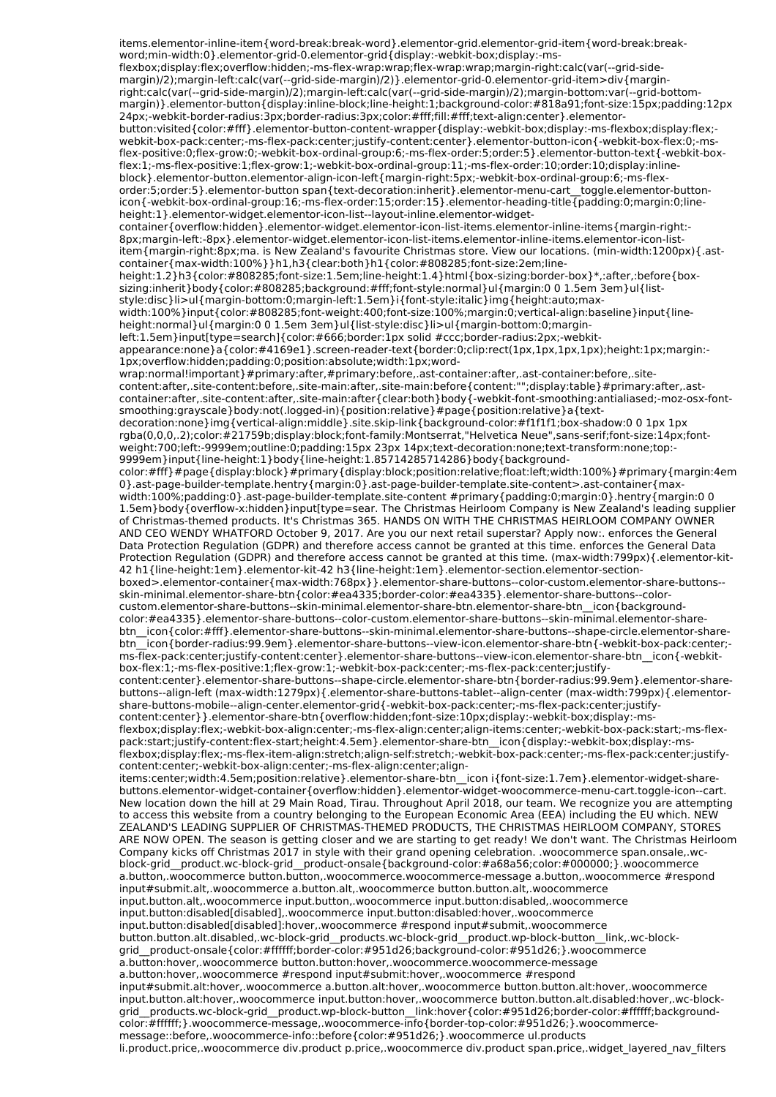items.elementor-inline-item{word-break:break-word}.elementor-grid.elementor-grid-item{word-break:break word;min-width:0}.elementor-grid-0.elementor-grid{display:-webkit-box;display:-msflexbox;display:flex;overflow:hidden;-ms-flex-wrap:wrap;flex-wrap:wrap;margin-right:calc(var(--grid-side margin)/2);margin-left:calc(var(--grid-side-margin)/2)}.elementor-grid-0.elementor-grid-item>div{marginright:calc(var(--grid-side-margin)/2);margin-left:calc(var(--grid-side-margin)/2);margin-bottom:var(--grid-bottom margin)}.elementor-button{display:inline-block;line-height:1;background-color:#818a91;font-size:15px;padding:12px 24px;-webkit-border-radius:3px;border-radius:3px;color:#fff;fill:#fff;text-align:center}.elementorbutton:visited{color:#fff}.elementor-button-content-wrapper{display:-webkit-box;display:-ms-flexbox;display:flex; webkit-box-pack:center;-ms-flex-pack:center;justify-content:center}.elementor-button-icon{-webkit-box-flex:0;-msflex-positive:0;flex-grow:0;-webkit-box-ordinal-group:6;-ms-flex-order:5;order:5}.elementor-button-text{-webkit-boxflex:1;-ms-flex-positive:1;flex-grow:1;-webkit-box-ordinal-group:11;-ms-flex-order:10;order:10;display:inlineblock}.elementor-button.elementor-align-icon-left{margin-right:5px;-webkit-box-ordinal-group:6;-ms-flexorder:5;order:5}.elementor-button span{text-decoration:inherit}.elementor-menu-cart\_\_toggle.elementor-buttonicon{-webkit-box-ordinal-group:16;-ms-flex-order:15;order:15}.elementor-heading-title{padding:0;margin:0;lineheight:1}.elementor-widget.elementor-icon-list--layout-inline.elementor-widgetcontainer{overflow:hidden}.elementor-widget.elementor-icon-list-items.elementor-inline-items{margin-right:-8px;margin-left:-8px}.elementor-widget.elementor-icon-list-items.elementor-inline-items.elementor-icon-listitem{margin-right:8px;ma. is New Zealand's favourite Christmas store. View our locations. (min-width:1200px){.astcontainer{max-width:100%}}h1,h3{clear:both}h1{color:#808285;font-size:2em;lineheight:1.2}h3{color:#808285;font-size:1.5em;line-height:1.4}html{box-sizing:border-box}\*,:after,:before{boxsizing:inherit}body{color:#808285;background:#fff;font-style:normal}ul{margin:0 0 1.5em 3em}ul{liststyle:disc}li>ul{margin-bottom:0;margin-left:1.5em}i{font-style:italic}img{height:auto;max width:100%}input{color:#808285;font-weight:400;font-size:100%;margin:0;vertical-align:baseline}input{lineheight:normal}ul{margin:0 0 1.5em 3em}ul{list-style:disc}li>ul{margin-bottom:0;marginleft:1.5em}input[type=search]{color:#666;border:1px solid #ccc;border-radius:2px;-webkitappearance:none}a{color:#4169e1}.screen-reader-text{border:0;clip:rect(1px,1px,1px,1px);height:1px;margin:- 1px;overflow:hidden;padding:0;position:absolute;width:1px;word wrap:normal!important}#primary:after,#primary:before,.ast-container:after,.ast-container:before,.sitecontent:after,.site-content:before,.site-main:after,.site-main:before{content:"";display:table}#primary:after,.astcontainer:after,.site-content:after,.site-main:after{clear:both}body{-webkit-font-smoothing:antialiased;-moz-osx-fontsmoothing:grayscale}body:not(.logged-in){position:relative}#page{position:relative}a{textdecoration:none}img{vertical-align:middle}.site.skip-link{background-color:#f1f1f1;box-shadow:0 0 1px 1px rgba(0,0,0,.2);color:#21759b;display:block;font-family:Montserrat,"Helvetica Neue",sans-serif;font-size:14px;font weight:700;left:-9999em;outline:0;padding:15px 23px 14px;text-decoration:none;text-transform:none;top:- 9999em}input{line-height:1}body{line-height:1.85714285714286}body{backgroundcolor:#fff}#page{display:block}#primary{display:block;position:relative;float:left;width:100%}#primary{margin:4em 0}.ast-page-builder-template.hentry{margin:0}.ast-page-builder-template.site-content>.ast-container{max width:100%;padding:0}.ast-page-builder-template.site-content #primary{padding:0;margin:0}.hentry{margin:0 0 1.5em}body{overflow-x:hidden}input[type=sear. The Christmas Heirloom Company is New Zealand's leading supplier of Christmas-themed products. It's Christmas 365. HANDS ON WITH THE CHRISTMAS HEIRLOOM COMPANY OWNER AND CEO WENDY WHATFORD October 9, 2017. Are you our next retail superstar? Apply now:. enforces the General Data Protection Regulation (GDPR) and therefore access cannot be granted at this time. enforces the General Data Protection Regulation (GDPR) and therefore access cannot be granted at this time. (max-width:799px){.elementor-kit-42 h1{line-height:1em}.elementor-kit-42 h3{line-height:1em}.elementor-section.elementor-sectionboxed>.elementor-container{max-width:768px}}.elementor-share-buttons--color-custom.elementor-share-buttons- skin-minimal.elementor-share-btn{color:#ea4335;border-color:#ea4335}.elementor-share-buttons--colorcustom.elementor-share-buttons--skin-minimal.elementor-share-btn.elementor-share-btn\_\_icon{backgroundcolor:#ea4335}.elementor-share-buttons--color-custom.elementor-share-buttons--skin-minimal.elementor-sharebtn\_\_icon{color:#fff}.elementor-share-buttons--skin-minimal.elementor-share-buttons--shape-circle.elementor-sharebtn icon{border-radius:99.9em}.elementor-share-buttons--view-icon.elementor-share-btn{-webkit-box-pack:center;ms-flex-pack:center;justify-content:center}.elementor-share-buttons--view-icon.elementor-share-btn\_icon{-webkitbox-flex:1;-ms-flex-positive:1;flex-grow:1;-webkit-box-pack:center;-ms-flex-pack:center;justifycontent:center}.elementor-share-buttons--shape-circle.elementor-share-btn{border-radius:99.9em}.elementor-sharebuttons--align-left (max-width:1279px){.elementor-share-buttons-tablet--align-center (max-width:799px){.elementorshare-buttons-mobile--align-center.elementor-grid{-webkit-box-pack:center;-ms-flex-pack:center;justifycontent:center}}.elementor-share-btn{overflow:hidden;font-size:10px;display:-webkit-box;display:-msflexbox;display:flex;-webkit-box-align:center;-ms-flex-align:center;align-items:center;-webkit-box-pack:start;-ms-flexpack:start;justify-content:flex-start;height:4.5em}.elementor-share-btn\_\_icon{display:-webkit-box;display:-msflexbox;display:flex;-ms-flex-item-align:stretch;align-self:stretch;-webkit-box-pack:center;-ms-flex-pack:center;justifycontent:center;-webkit-box-align:center;-ms-flex-align:center;alignitems:center;width:4.5em;position:relative}.elementor-share-btn\_\_icon i{font-size:1.7em}.elementor-widget-sharebuttons.elementor-widget-container{overflow:hidden}.elementor-widget-woocommerce-menu-cart.toggle-icon--cart. New location down the hill at 29 Main Road, Tirau. Throughout April 2018, our team. We recognize you are attempting to access this website from a country belonging to the European Economic Area (EEA) including the EU which. NEW ZEALAND'S LEADING SUPPLIER OF CHRISTMAS-THEMED PRODUCTS, THE CHRISTMAS HEIRLOOM COMPANY, STORES ARE NOW OPEN. The season is getting closer and we are starting to get ready! We don't want. The Christmas Heirloom Company kicks off Christmas 2017 in style with their grand opening celebration. .woocommerce span.onsale,.wcblock-grid\_\_product.wc-block-grid\_\_product-onsale{background-color:#a68a56;color:#000000;}.woocommerce a.button,.woocommerce button.button,.woocommerce.woocommerce-message a.button,.woocommerce #respond input#submit.alt,.woocommerce a.button.alt,.woocommerce button.button.alt,.woocommerce input.button.alt,.woocommerce input.button,.woocommerce input.button:disabled,.woocommerce input.button:disabled[disabled],.woocommerce input.button:disabled:hover,.woocommerce input.button:disabled[disabled]:hover,.woocommerce #respond input#submit,.woocommerce button.button.alt.disabled,.wc-block-grid\_\_products.wc-block-grid\_\_product.wp-block-button\_\_link,.wc-blockgrid\_\_product-onsale{color:#ffffff;border-color:#951d26;background-color:#951d26;}.woocommerce a.button:hover,.woocommerce button.button:hover,.woocommerce.woocommerce-message a.button:hover,.woocommerce #respond input#submit:hover,.woocommerce #respond input#submit.alt:hover,.woocommerce a.button.alt:hover,.woocommerce button.button.alt:hover,.woocommerce input.button.alt:hover,.woocommerce input.button:hover,.woocommerce button.button.alt.disabled:hover,.wc-blockgrid\_\_products.wc-block-grid\_\_product.wp-block-button\_\_link:hover{color:#951d26;border-color:#ffffff;backgroundcolor:#ffffff;}.woocommerce-message,.woocommerce-info{border-top-color:#951d26;}.woocommerce message::before,.woocommerce-info::before{color:#951d26;}.woocommerce ul.products li.product.price,.woocommerce div.product p.price,.woocommerce div.product span.price,.widget layered nav filters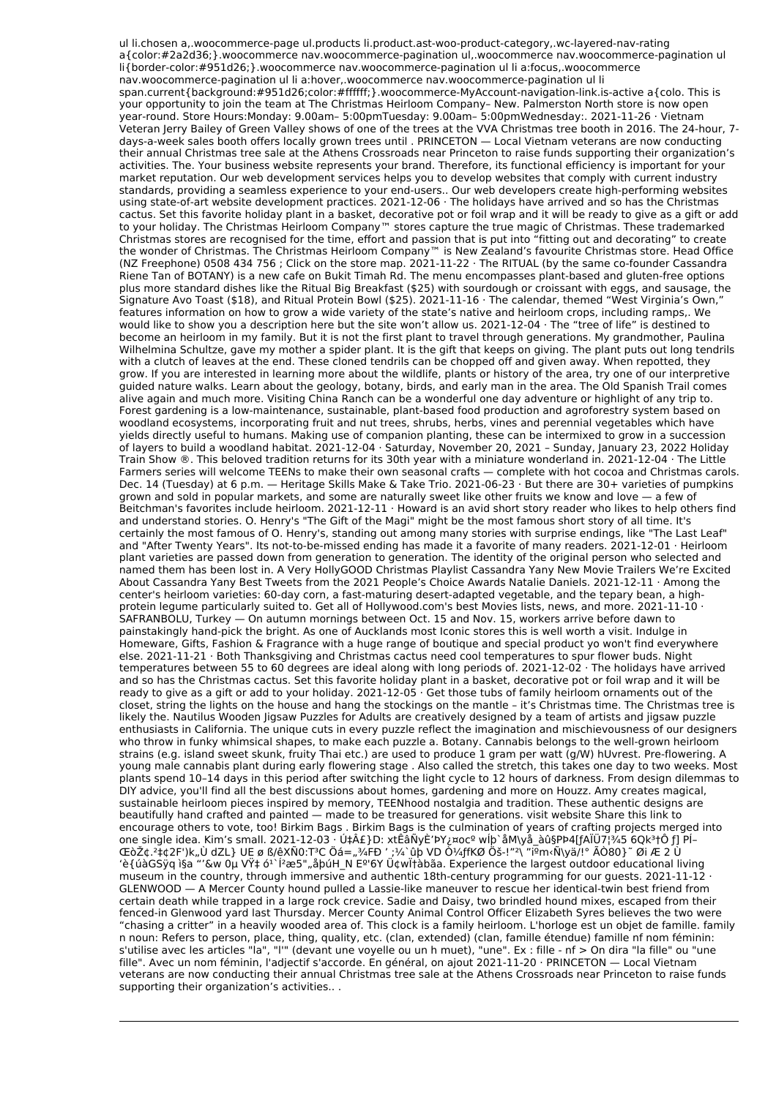ul li.chosen a,.woocommerce-page ul.products li.product.ast-woo-product-category,.wc-layered-nav-rating a{color:#2a2d36;}.woocommerce nav.woocommerce-pagination ul,.woocommerce nav.woocommerce-pagination ul li{border-color:#951d26;}.woocommerce nav.woocommerce-pagination ul li a:focus,.woocommerce nav.woocommerce-pagination ul li a:hover,.woocommerce nav.woocommerce-pagination ul li span.current{background:#951d26;color:#ffffff;}.woocommerce-MyAccount-navigation-link.is-active a{colo. This is your opportunity to join the team at The Christmas Heirloom Company– New. Palmerston North store is now open year-round. Store Hours:Monday: 9.00am– 5:00pmTuesday: 9.00am– 5:00pmWednesday:. 2021-11-26 · Vietnam Veteran Jerry Bailey of Green Valley shows of one of the trees at the VVA Christmas tree booth in 2016. The 24-hour, 7 days-a-week sales booth offers locally grown trees until . PRINCETON — Local Vietnam veterans are now conducting their annual Christmas tree sale at the Athens Crossroads near Princeton to raise funds supporting their organization's activities. The. Your business website represents your brand. Therefore, its functional efficiency is important for your market reputation. Our web development services helps you to develop websites that comply with current industry standards, providing a seamless experience to your end-users.. Our web developers create high-performing websites using state-of-art website development practices. 2021-12-06 · The holidays have arrived and so has the Christmas cactus. Set this favorite holiday plant in a basket, decorative pot or foil wrap and it will be ready to give as a gift or add to your holiday. The Christmas Heirloom Company™ stores capture the true magic of Christmas. These trademarked Christmas stores are recognised for the time, effort and passion that is put into "fitting out and decorating" to create the wonder of Christmas. The Christmas Heirloom Company™ is New Zealand's favourite Christmas store. Head Office (NZ Freephone) 0508 434 756 ; Click on the store map. 2021-11-22 · The RITUAL (by the same co-founder Cassandra Riene Tan of BOTANY) is a new cafe on Bukit Timah Rd. The menu encompasses plant-based and gluten-free options plus more standard dishes like the Ritual Big Breakfast (\$25) with sourdough or croissant with eggs, and sausage, the Signature Avo Toast (\$18), and Ritual Protein Bowl (\$25). 2021-11-16 · The calendar, themed "West Virginia's Own," features information on how to grow a wide variety of the state's native and heirloom crops, including ramps,. We would like to show you a description here but the site won't allow us. 2021-12-04 · The "tree of life" is destined to become an heirloom in my family. But it is not the first plant to travel through generations. My grandmother, Paulina Wilhelmina Schultze, gave my mother a spider plant. It is the gift that keeps on giving. The plant puts out long tendrils with a clutch of leaves at the end. These cloned tendrils can be chopped off and given away. When repotted, they grow. If you are interested in learning more about the wildlife, plants or history of the area, try one of our interpretive guided nature walks. Learn about the geology, botany, birds, and early man in the area. The Old Spanish Trail comes alive again and much more. Visiting China Ranch can be a wonderful one day adventure or highlight of any trip to. Forest gardening is a low-maintenance, sustainable, plant-based food production and agroforestry system based on woodland ecosystems, incorporating fruit and nut trees, shrubs, herbs, vines and perennial vegetables which have yields directly useful to humans. Making use of companion planting, these can be intermixed to grow in a succession of layers to build a woodland habitat. 2021-12-04 · Saturday, November 20, 2021 – Sunday, January 23, 2022 Holiday Train Show ®. This beloved tradition returns for its 30th year with a miniature wonderland in. 2021-12-04 · The Little Farmers series will welcome TEENs to make their own seasonal crafts — complete with hot cocoa and Christmas carols. Dec. 14 (Tuesday) at 6 p.m. — Heritage Skills Make & Take Trio. 2021-06-23 · But there are 30+ varieties of pumpkins grown and sold in popular markets, and some are naturally sweet like other fruits we know and love — a few of Beitchman's favorites include heirloom. 2021-12-11 · Howard is an avid short story reader who likes to help others find and understand stories. O. Henry's "The Gift of the Magi" might be the most famous short story of all time. It's certainly the most famous of O. Henry's, standing out among many stories with surprise endings, like "The Last Leaf" and "After Twenty Years". Its not-to-be-missed ending has made it a favorite of many readers. 2021-12-01 · Heirloom plant varieties are passed down from generation to generation. The identity of the original person who selected and named them has been lost in. A Very HollyGOOD Christmas Playlist Cassandra Yany New Movie Trailers We're Excited About Cassandra Yany Best Tweets from the 2021 People's Choice Awards Natalie Daniels. 2021-12-11 · Among the center's heirloom varieties: 60-day corn, a fast-maturing desert-adapted vegetable, and the tepary bean, a highprotein legume particularly suited to. Get all of Hollywood.com's best Movies lists, news, and more. 2021-11-10 · SAFRANBOLU, Turkey — On autumn mornings between Oct. 15 and Nov. 15, workers arrive before dawn to painstakingly hand-pick the bright. As one of Aucklands most Iconic stores this is well worth a visit. Indulge in Homeware, Gifts, Fashion & Fragrance with a huge range of boutique and special product yo won't find everywhere else. 2021-11-21 · Both Thanksgiving and Christmas cactus need cool temperatures to spur flower buds. Night temperatures between 55 to 60 degrees are ideal along with long periods of. 2021-12-02 · The holidays have arrived and so has the Christmas cactus. Set this favorite holiday plant in a basket, decorative pot or foil wrap and it will be ready to give as a gift or add to your holiday. 2021-12-05 · Get those tubs of family heirloom ornaments out of the closet, string the lights on the house and hang the stockings on the mantle – it's Christmas time. The Christmas tree is likely the. Nautilus Wooden Jigsaw Puzzles for Adults are creatively designed by a team of artists and jigsaw puzzle enthusiasts in California. The unique cuts in every puzzle reflect the imagination and mischievousness of our designers who throw in funky whimsical shapes, to make each puzzle a. Botany. Cannabis belongs to the well-grown heirloom strains (e.g. island sweet skunk, fruity Thai etc.) are used to produce 1 gram per watt (g/W) hUvrest. Pre-flowering. A young male cannabis plant during early flowering stage . Also called the stretch, this takes one day to two weeks. Most plants spend 10–14 days in this period after switching the light cycle to 12 hours of darkness. From design dilemmas to DIY advice, you'll find all the best discussions about homes, gardening and more on Houzz. Amy creates magical, sustainable heirloom pieces inspired by memory, TEENhood nostalgia and tradition. These authentic designs are beautifully hand crafted and painted — made to be treasured for generations. visit website Share this link to encourage others to vote, too! Birkim Bags . Birkim Bags is the culmination of years of crafting projects merged into one single idea. Kim's small. 2021-12-03 · ڇ£}D: xtÊâÑyÈ'ÞY¿¤ocº wĺþ`åM\yå\_àû§PÞ4[ƒAÏÜ7¦¾5 6Qk3†Ô ƒ] PÍ–  $E$ òŽ¢.²‡¢2F')k"Ù dZL} UE ø ß/êXÑ0:TªC Öá="¾FÐ ' ;¼`ûþ VD Ò¼ffKØ Öš-!"<sup>2</sup>\ "iºm‹Ñ\yä/!° ÃÒ80}~ Øi Æ 2 Ù 'è{úàGSÿq ì§a "'&w 0µ VŸ‡ ó<sup>1</sup> <sup>¡2</sup>æ5", åþúH\_N Eº'6Y Ü¢wĬ†àbãa. Experience the largest outdoor educational living museum in the country, through immersive and authentic 18th-century programming for our guests. 2021-11-12 · GLENWOOD — A Mercer County hound pulled a Lassie-like maneuver to rescue her identical-twin best friend from certain death while trapped in a large rock crevice. Sadie and Daisy, two brindled hound mixes, escaped from their fenced-in Glenwood yard last Thursday. Mercer County Animal Control Officer Elizabeth Syres believes the two were "chasing a critter" in a heavily wooded area of. This clock is a family heirloom. L'horloge est un objet de famille. family n noun: Refers to person, place, thing, quality, etc. (clan, extended) (clan, famille étendue) famille nf nom féminin: s'utilise avec les articles "la", "l'" (devant une voyelle ou un h muet), "une". Ex : fille - nf > On dira "la fille" ou "une fille". Avec un nom féminin, l'adjectif s'accorde. En général, on ajout 2021-11-20 · PRINCETON — Local Vietnam veterans are now conducting their annual Christmas tree sale at the Athens Crossroads near Princeton to raise funds supporting their organization's activities.. .